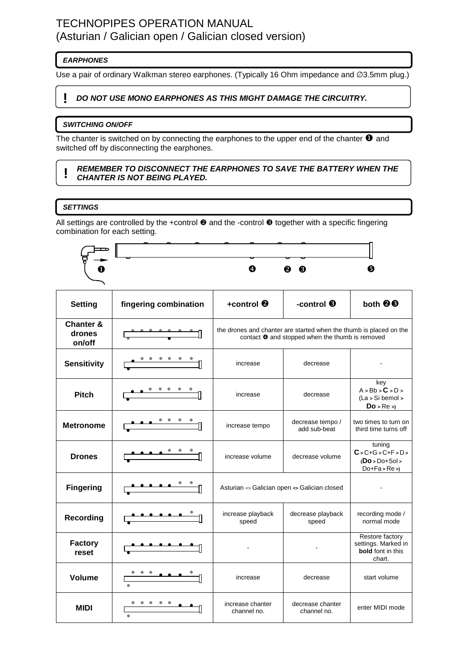# TECHNOPIPES OPERATION MANUAL (Asturian / Galician open / Galician closed version)

## **EARPHONES**

Use a pair of ordinary Walkman stereo earphones. (Typically 16 Ohm impedance and ∅3.5mm plug.)

### **! DO NOT USE MONO EARPHONES AS THIS MIGHT DAMAGE THE CIRCUITRY.**

### **SWITCHING ON/OFF**

The chanter is switched on by connecting the earphones to the upper end of the chanter  $\bullet$  and switched off by disconnecting the earphones.

#### **! REMEMBER TO DISCONNECT THE EARPHONES TO SAVE THE BATTERY WHEN THE CHANTER IS NOT BEING PLAYED.**

### **SETTINGS**

All settings are controlled by the +control  $\Theta$  and the -control  $\Theta$  together with a specific fingering combination for each setting.



| <b>Setting</b>                           | fingering combination                                                                                                 | +control $\boldsymbol{\Theta}$                                                                                                | -control <sup>6</sup>            | both <sup>@</sup>                                                            |
|------------------------------------------|-----------------------------------------------------------------------------------------------------------------------|-------------------------------------------------------------------------------------------------------------------------------|----------------------------------|------------------------------------------------------------------------------|
| <b>Chanter &amp;</b><br>drones<br>on/off |                                                                                                                       | the drones and chanter are started when the thumb is placed on the<br>contact $\bullet$ and stopped when the thumb is removed |                                  |                                                                              |
| <b>Sensitivity</b>                       |                                                                                                                       | increase                                                                                                                      | decrease                         |                                                                              |
| <b>Pitch</b>                             | $\frac{1}{\sqrt{2}}$                                                                                                  | increase                                                                                                                      | decrease                         | key<br>A > Bb > C > D ><br>(La > Si bemol ><br>$Do$ > $Re$ >)                |
| <b>Metronome</b>                         |                                                                                                                       | increase tempo                                                                                                                | decrease tempo /<br>add sub-beat | two times to turn on<br>third time turns off                                 |
| <b>Drones</b>                            |                                                                                                                       | increase volume                                                                                                               | decrease volume                  | tuning<br>$C > C + G > C + F > D >$<br>$(Do > Do + Sol >$<br>$Do+Fa > Re >$  |
| <b>Fingering</b>                         |                                                                                                                       | Asturian <> Galician open <> Galician closed                                                                                  |                                  |                                                                              |
| <b>Recording</b>                         |                                                                                                                       | increase playback<br>speed                                                                                                    | decrease playback<br>speed       | recording mode /<br>normal mode                                              |
| <b>Factory</b><br>reset                  | <u> 1989 - Johann Stein, martin santa shekara ta 1989 - An tsara tsara tsara tsara tsara tsara tsara tsara tsara </u> |                                                                                                                               |                                  | Restore factory<br>settings. Marked in<br><b>bold</b> font in this<br>chart. |
| Volume                                   |                                                                                                                       | increase                                                                                                                      | decrease                         | start volume                                                                 |
| <b>MIDI</b>                              |                                                                                                                       | increase chanter<br>channel no.                                                                                               | decrease chanter<br>channel no.  | enter MIDI mode                                                              |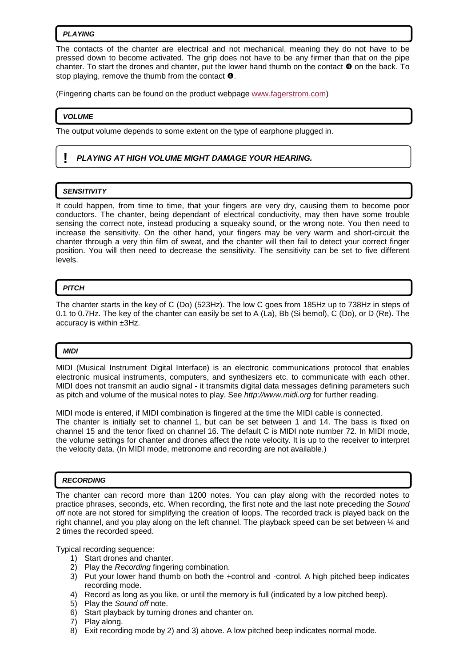#### **PLAYING**

The contacts of the chanter are electrical and not mechanical, meaning they do not have to be pressed down to become activated. The grip does not have to be any firmer than that on the pipe chanter. To start the drones and chanter, put the lower hand thumb on the contact  $\bullet$  on the back. To stop playing, remove the thumb from the contact  $\mathbf{\Theta}$ .

(Fingering charts can be found on the product webpage www.fagerstrom.com)

#### **VOLUME**

The output volume depends to some extent on the type of earphone plugged in.

### **! PLAYING AT HIGH VOLUME MIGHT DAMAGE YOUR HEARING.**

#### **SENSITIVITY**

It could happen, from time to time, that your fingers are very dry, causing them to become poor conductors. The chanter, being dependant of electrical conductivity, may then have some trouble sensing the correct note, instead producing a squeaky sound, or the wrong note. You then need to increase the sensitivity. On the other hand, your fingers may be very warm and short-circuit the chanter through a very thin film of sweat, and the chanter will then fail to detect your correct finger position. You will then need to decrease the sensitivity. The sensitivity can be set to five different levels.

#### **PITCH**

The chanter starts in the key of C (Do) (523Hz). The low C goes from 185Hz up to 738Hz in steps of 0.1 to 0.7Hz. The key of the chanter can easily be set to A (La), Bb (Si bemol), C (Do), or D (Re). The accuracy is within ±3Hz.

#### **MIDI**

MIDI (Musical Instrument Digital Interface) is an electronic communications protocol that enables electronic musical instruments, computers, and synthesizers etc. to communicate with each other. MIDI does not transmit an audio signal - it transmits digital data messages defining parameters such as pitch and volume of the musical notes to play. See http://www.midi.org for further reading.

MIDI mode is entered, if MIDI combination is fingered at the time the MIDI cable is connected. The chanter is initially set to channel 1, but can be set between 1 and 14. The bass is fixed on channel 15 and the tenor fixed on channel 16. The default C is MIDI note number 72. In MIDI mode, the volume settings for chanter and drones affect the note velocity. It is up to the receiver to interpret the velocity data. (In MIDI mode, metronome and recording are not available.)

#### **RECORDING**

The chanter can record more than 1200 notes. You can play along with the recorded notes to practice phrases, seconds, etc. When recording, the first note and the last note preceding the Sound off note are not stored for simplifying the creation of loops. The recorded track is played back on the right channel, and you play along on the left channel. The playback speed can be set between ¼ and 2 times the recorded speed.

Typical recording sequence:

- 1) Start drones and chanter.
- 2) Play the Recording fingering combination.
- 3) Put your lower hand thumb on both the +control and -control. A high pitched beep indicates recording mode.
- 4) Record as long as you like, or until the memory is full (indicated by a low pitched beep).
- 5) Play the Sound off note.
- 6) Start playback by turning drones and chanter on.
- 7) Play along.
- 8) Exit recording mode by 2) and 3) above. A low pitched beep indicates normal mode.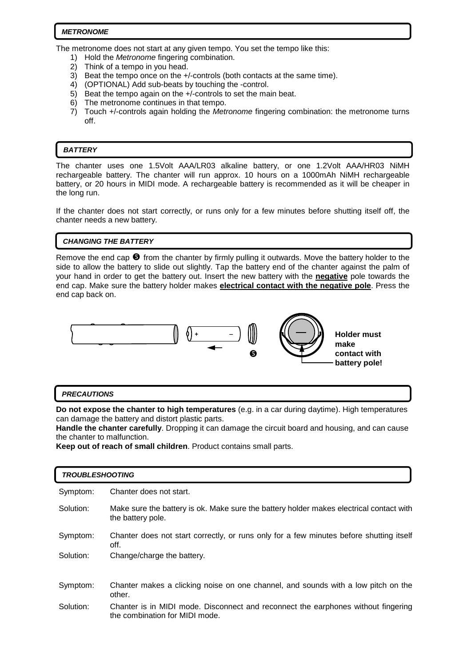#### **METRONOME**

The metronome does not start at any given tempo. You set the tempo like this:

- 1) Hold the *Metronome* fingering combination.
- 2) Think of a tempo in you head.
- 3) Beat the tempo once on the +/-controls (both contacts at the same time).
- 4) (OPTIONAL) Add sub-beats by touching the -control.
- 5) Beat the tempo again on the +/-controls to set the main beat.
- 6) The metronome continues in that tempo.
- 7) Touch +/-controls again holding the Metronome fingering combination: the metronome turns off.

#### **BATTERY**

 $\overline{a}$ 

The chanter uses one 1.5Volt AAA/LR03 alkaline battery, or one 1.2Volt AAA/HR03 NiMH rechargeable battery. The chanter will run approx. 10 hours on a 1000mAh NiMH rechargeable battery, or 20 hours in MIDI mode. A rechargeable battery is recommended as it will be cheaper in the long run.

If the chanter does not start correctly, or runs only for a few minutes before shutting itself off, the chanter needs a new battery.

#### **CHANGING THE BATTERY**

Remove the end cap  $\bullet$  from the chanter by firmly pulling it outwards. Move the battery holder to the side to allow the battery to slide out slightly. Tap the battery end of the chanter against the palm of your hand in order to get the battery out. Insert the new battery with the **negative** pole towards the end cap. Make sure the battery holder makes **electrical contact with the negative pole**. Press the end cap back on.



#### **PRECAUTIONS**

**Do not expose the chanter to high temperatures** (e.g. in a car during daytime). High temperatures can damage the battery and distort plastic parts.

**Handle the chanter carefully**. Dropping it can damage the circuit board and housing, and can cause the chanter to malfunction.

**Keep out of reach of small children**. Product contains small parts.

| <b>TROUBLESHOOTING</b> |                                                                                                                     |  |  |
|------------------------|---------------------------------------------------------------------------------------------------------------------|--|--|
| Symptom:               | Chanter does not start.                                                                                             |  |  |
| Solution:              | Make sure the battery is ok. Make sure the battery holder makes electrical contact with<br>the battery pole.        |  |  |
| Symptom:               | Chanter does not start correctly, or runs only for a few minutes before shutting itself<br>off.                     |  |  |
| Solution:              | Change/charge the battery.                                                                                          |  |  |
|                        |                                                                                                                     |  |  |
| Symptom:               | Chanter makes a clicking noise on one channel, and sounds with a low pitch on the<br>other.                         |  |  |
| Solution:              | Chanter is in MIDI mode. Disconnect and reconnect the earphones without fingering<br>the combination for MIDI mode. |  |  |